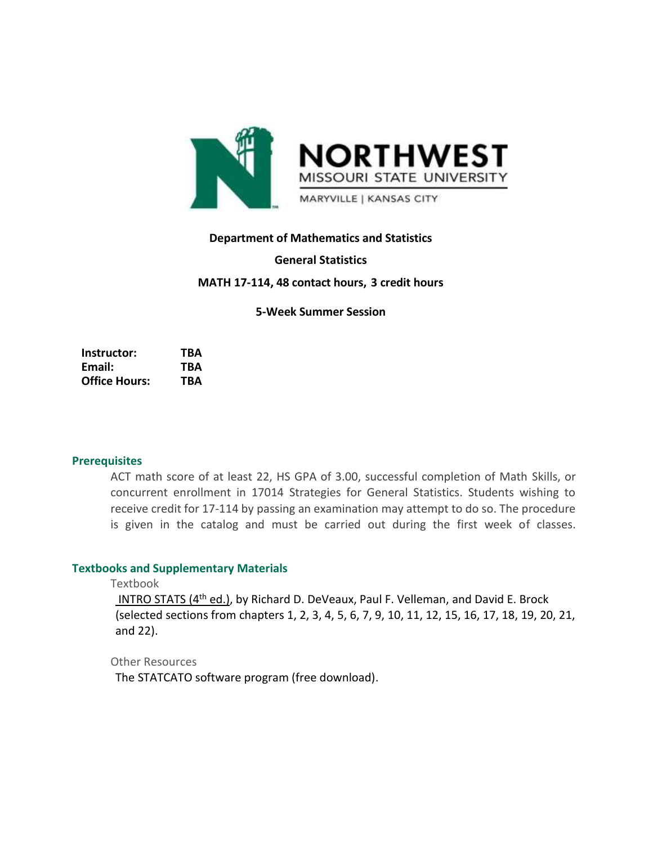

## **Department of Mathematics and Statistics**

#### **General Statistics**

## **MATH 17-114, 48 contact hours, 3 credit hours**

### **5-Week Summer Session**

**Instructor: TBA Email: TBA Office Hours: TBA**

### **Prerequisites**

ACT math score of at least 22, HS GPA of 3.00, successful completion of Math Skills, or concurrent enrollment in 17014 Strategies for General Statistics. Students wishing to receive credit for 17-114 by passing an examination may attempt to do so. The procedure is given in the catalog and must be carried out during the first week of classes.

#### **Textbooks and Supplementary Materials**

Textbook

INTRO STATS (4<sup>th</sup> ed.), by Richard D. DeVeaux, Paul F. Velleman, and David E. Brock (selected sections from chapters 1, 2, 3, 4, 5, 6, 7, 9, 10, 11, 12, 15, 16, 17, 18, 19, 20, 21, and 22).

Other Resources

The STATCATO software program (free download).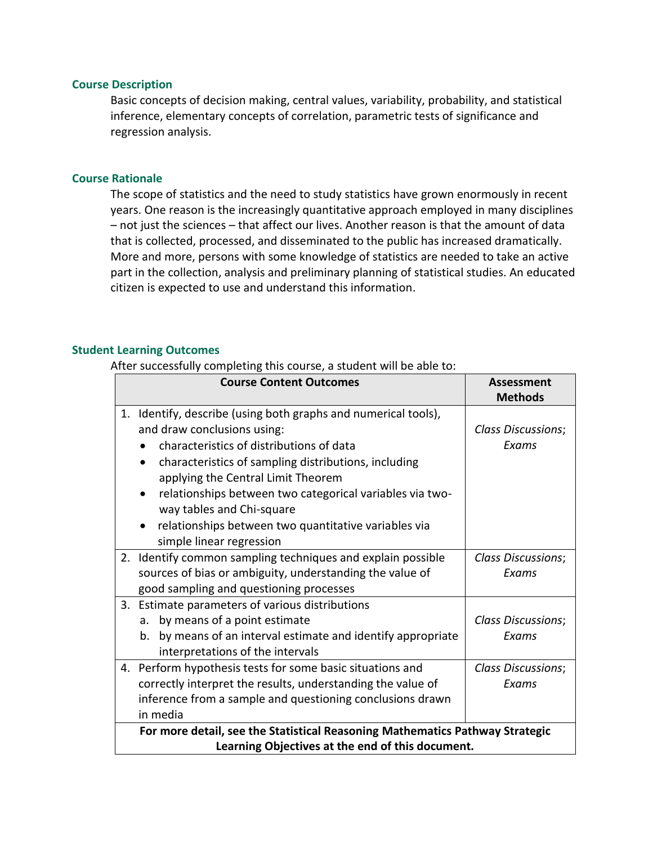#### **Course Description**

Basic concepts of decision making, central values, variability, probability, and statistical inference, elementary concepts of correlation, parametric tests of significance and regression analysis.

#### **Course Rationale**

The scope of statistics and the need to study statistics have grown enormously in recent years. One reason is the increasingly quantitative approach employed in many disciplines – not just the sciences – that affect our lives. Another reason is that the amount of data that is collected, processed, and disseminated to the public has increased dramatically. More and more, persons with some knowledge of statistics are needed to take an active part in the collection, analysis and preliminary planning of statistical studies. An educated citizen is expected to use and understand this information.

#### **Student Learning Outcomes**

After successfully completing this course, a student will be able to:

| <b>Course Content Outcomes</b>                                                                                                                                                                                                                                                                                                                                                                                          | Assessment<br><b>Methods</b>       |  |
|-------------------------------------------------------------------------------------------------------------------------------------------------------------------------------------------------------------------------------------------------------------------------------------------------------------------------------------------------------------------------------------------------------------------------|------------------------------------|--|
| Identify, describe (using both graphs and numerical tools),<br>1.<br>and draw conclusions using:<br>characteristics of distributions of data<br>characteristics of sampling distributions, including<br>applying the Central Limit Theorem<br>relationships between two categorical variables via two-<br>way tables and Chi-square<br>relationships between two quantitative variables via<br>simple linear regression | <b>Class Discussions;</b><br>Exams |  |
| Identify common sampling techniques and explain possible<br>2.<br>sources of bias or ambiguity, understanding the value of<br>good sampling and questioning processes                                                                                                                                                                                                                                                   | <b>Class Discussions;</b><br>Exams |  |
| Estimate parameters of various distributions<br>3.<br>by means of a point estimate<br>a <sub>r</sub><br>b. by means of an interval estimate and identify appropriate<br>interpretations of the intervals                                                                                                                                                                                                                | <b>Class Discussions;</b><br>Exams |  |
| 4. Perform hypothesis tests for some basic situations and<br>correctly interpret the results, understanding the value of<br>inference from a sample and questioning conclusions drawn<br>in media                                                                                                                                                                                                                       | <b>Class Discussions;</b><br>Exams |  |
| For more detail, see the Statistical Reasoning Mathematics Pathway Strategic<br>Learning Objectives at the end of this document.                                                                                                                                                                                                                                                                                        |                                    |  |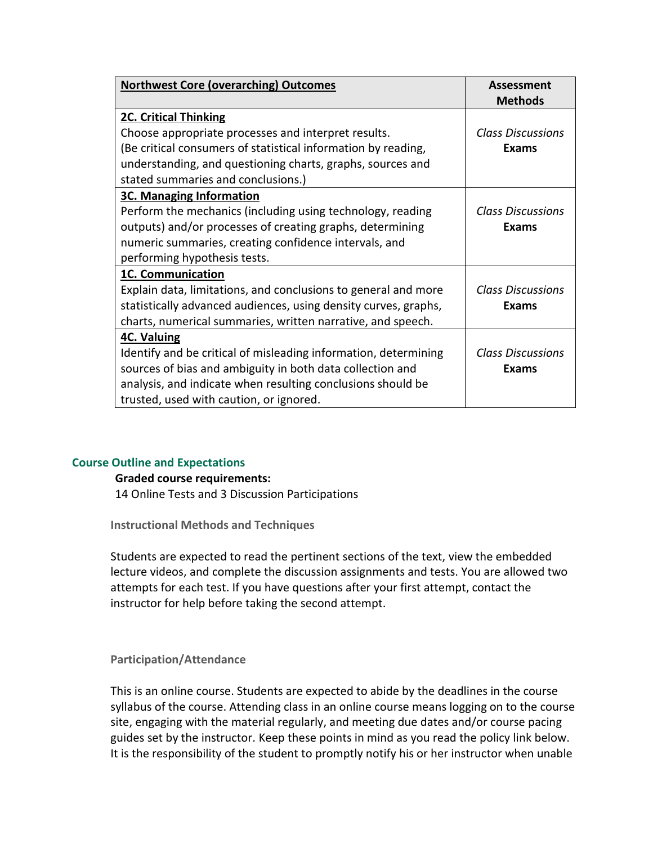| <b>Northwest Core (overarching) Outcomes</b>                    | <b>Assessment</b>        |
|-----------------------------------------------------------------|--------------------------|
|                                                                 | <b>Methods</b>           |
| <b>2C. Critical Thinking</b>                                    |                          |
| Choose appropriate processes and interpret results.             | <b>Class Discussions</b> |
| (Be critical consumers of statistical information by reading,   | Exams                    |
| understanding, and questioning charts, graphs, sources and      |                          |
| stated summaries and conclusions.)                              |                          |
| <b>3C. Managing Information</b>                                 |                          |
| Perform the mechanics (including using technology, reading      | <b>Class Discussions</b> |
| outputs) and/or processes of creating graphs, determining       | Exams                    |
| numeric summaries, creating confidence intervals, and           |                          |
| performing hypothesis tests.                                    |                          |
| 1C. Communication                                               |                          |
| Explain data, limitations, and conclusions to general and more  | <b>Class Discussions</b> |
| statistically advanced audiences, using density curves, graphs, | Exams                    |
| charts, numerical summaries, written narrative, and speech.     |                          |
| <b>4C. Valuing</b>                                              |                          |
| Identify and be critical of misleading information, determining | <b>Class Discussions</b> |
| sources of bias and ambiguity in both data collection and       | Exams                    |
| analysis, and indicate when resulting conclusions should be     |                          |
| trusted, used with caution, or ignored.                         |                          |

#### **Course Outline and Expectations**

#### **Graded course requirements:**

14 Online Tests and 3 Discussion Participations

**Instructional Methods and Techniques**

Students are expected to read the pertinent sections of the text, view the embedded lecture videos, and complete the discussion assignments and tests. You are allowed two attempts for each test. If you have questions after your first attempt, contact the instructor for help before taking the second attempt.

## **Participation/Attendance**

This is an online course. Students are expected to abide by the deadlines in the course syllabus of the course. Attending class in an online course means logging on to the course site, engaging with the material regularly, and meeting due dates and/or course pacing guides set by the instructor. Keep these points in mind as you read the policy link below. It is the responsibility of the student to promptly notify his or her instructor when unable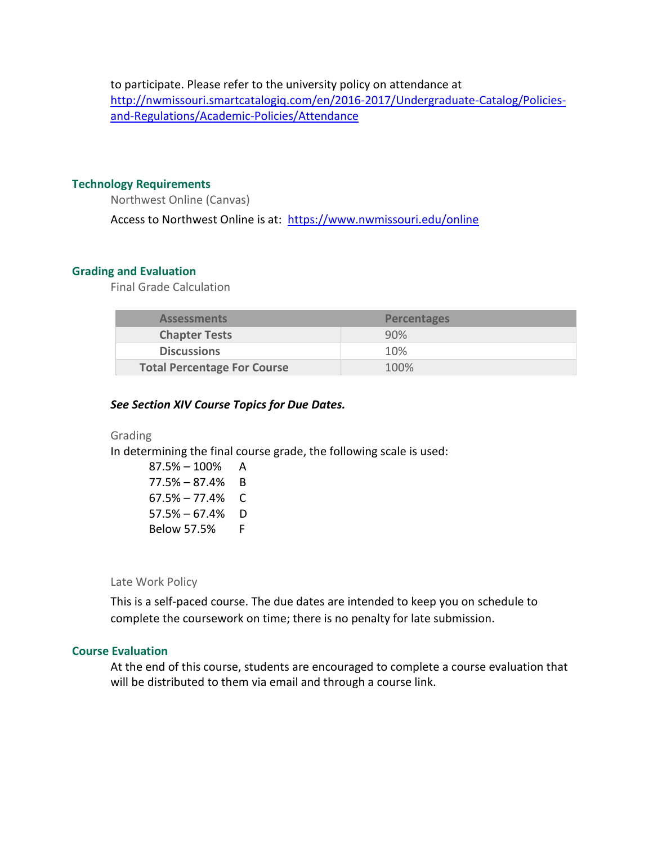to participate. Please refer to the university policy on attendance at [http://nwmissouri.smartcatalogiq.com/en/2016-2017/Undergraduate-Catalog/Policies](http://nwmissouri.smartcatalogiq.com/en/2016-2017/Undergraduate-Catalog/Policies-and-Regulations/Academic-Policies/Attendance)[and-Regulations/Academic-Policies/Attendance](http://nwmissouri.smartcatalogiq.com/en/2016-2017/Undergraduate-Catalog/Policies-and-Regulations/Academic-Policies/Attendance)

### **Technology Requirements**

Northwest Online (Canvas)

Access to Northwest Online is at: <https://www.nwmissouri.edu/online>

## **Grading and Evaluation**

Final Grade Calculation

| <b>Assessments</b>                 | <b>Percentages</b> |
|------------------------------------|--------------------|
| <b>Chapter Tests</b>               | 90%                |
| <b>Discussions</b>                 | 10%                |
| <b>Total Percentage For Course</b> | 100%               |

## *See Section XIV Course Topics for Due Dates.*

### Grading

In determining the final course grade, the following scale is used:

87.5% – 100% A 77.5% – 87.4% B  $67.5\% - 77.4\%$  C 57.5% – 67.4% D Below 57.5% F

Late Work Policy

This is a self-paced course. The due dates are intended to keep you on schedule to complete the coursework on time; there is no penalty for late submission.

#### **Course Evaluation**

At the end of this course, students are encouraged to complete a course evaluation that will be distributed to them via email and through a course link.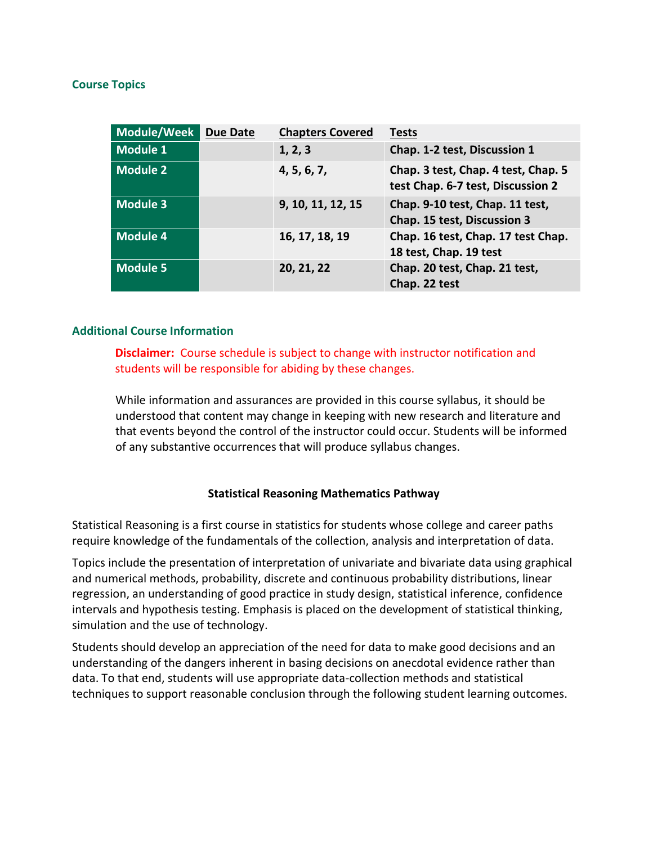## **Course Topics**

| Module/Week     | <b>Due Date</b> | <b>Chapters Covered</b> | <b>Tests</b>                                                             |
|-----------------|-----------------|-------------------------|--------------------------------------------------------------------------|
| <b>Module 1</b> |                 | 1, 2, 3                 | Chap. 1-2 test, Discussion 1                                             |
| <b>Module 2</b> |                 | 4, 5, 6, 7,             | Chap. 3 test, Chap. 4 test, Chap. 5<br>test Chap. 6-7 test, Discussion 2 |
| <b>Module 3</b> |                 | 9, 10, 11, 12, 15       | Chap. 9-10 test, Chap. 11 test,<br>Chap. 15 test, Discussion 3           |
| <b>Module 4</b> |                 | 16, 17, 18, 19          | Chap. 16 test, Chap. 17 test Chap.<br>18 test, Chap. 19 test             |
| <b>Module 5</b> |                 | 20, 21, 22              | Chap. 20 test, Chap. 21 test,<br>Chap. 22 test                           |

## **Additional Course Information**

**Disclaimer:** Course schedule is subject to change with instructor notification and students will be responsible for abiding by these changes.

While information and assurances are provided in this course syllabus, it should be understood that content may change in keeping with new research and literature and that events beyond the control of the instructor could occur. Students will be informed of any substantive occurrences that will produce syllabus changes.

# **Statistical Reasoning Mathematics Pathway**

Statistical Reasoning is a first course in statistics for students whose college and career paths require knowledge of the fundamentals of the collection, analysis and interpretation of data.

Topics include the presentation of interpretation of univariate and bivariate data using graphical and numerical methods, probability, discrete and continuous probability distributions, linear regression, an understanding of good practice in study design, statistical inference, confidence intervals and hypothesis testing. Emphasis is placed on the development of statistical thinking, simulation and the use of technology.

Students should develop an appreciation of the need for data to make good decisions and an understanding of the dangers inherent in basing decisions on anecdotal evidence rather than data. To that end, students will use appropriate data-collection methods and statistical techniques to support reasonable conclusion through the following student learning outcomes.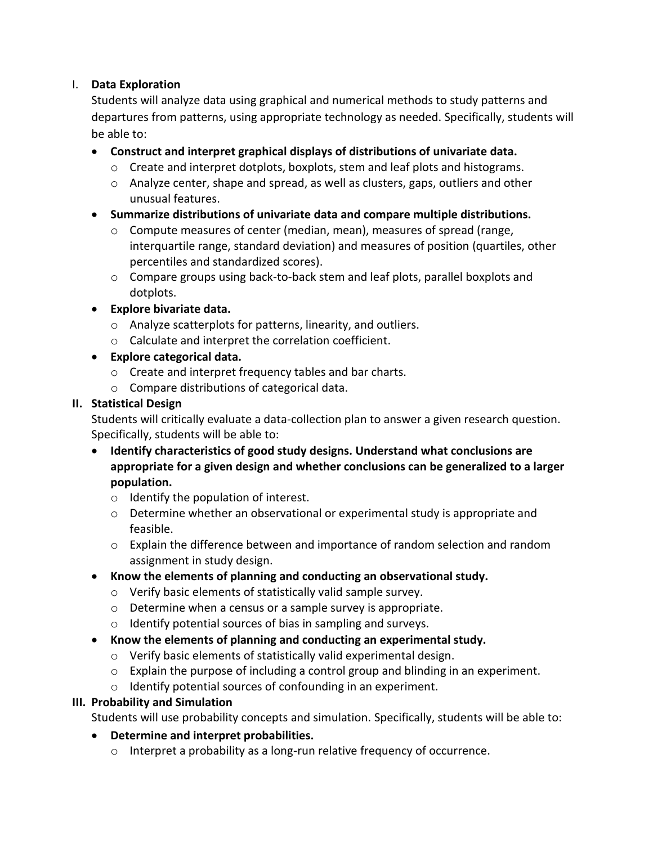# I. **Data Exploration**

Students will analyze data using graphical and numerical methods to study patterns and departures from patterns, using appropriate technology as needed. Specifically, students will be able to:

- **Construct and interpret graphical displays of distributions of univariate data.** 
	- $\circ$  Create and interpret dotplots, boxplots, stem and leaf plots and histograms.
	- $\circ$  Analyze center, shape and spread, as well as clusters, gaps, outliers and other unusual features.
- **Summarize distributions of univariate data and compare multiple distributions.**
	- $\circ$  Compute measures of center (median, mean), measures of spread (range, interquartile range, standard deviation) and measures of position (quartiles, other percentiles and standardized scores).
	- $\circ$  Compare groups using back-to-back stem and leaf plots, parallel boxplots and dotplots.
- **Explore bivariate data.** 
	- o Analyze scatterplots for patterns, linearity, and outliers.
	- o Calculate and interpret the correlation coefficient.
- **Explore categorical data.** 
	- o Create and interpret frequency tables and bar charts.
	- o Compare distributions of categorical data.

# **II. Statistical Design**

Students will critically evaluate a data-collection plan to answer a given research question. Specifically, students will be able to:

- **Identify characteristics of good study designs. Understand what conclusions are appropriate for a given design and whether conclusions can be generalized to a larger population.** 
	- o Identify the population of interest.
	- $\circ$  Determine whether an observational or experimental study is appropriate and feasible.
	- o Explain the difference between and importance of random selection and random assignment in study design.
- **Know the elements of planning and conducting an observational study.** 
	- o Verify basic elements of statistically valid sample survey.
	- o Determine when a census or a sample survey is appropriate.
	- o Identify potential sources of bias in sampling and surveys.
- **Know the elements of planning and conducting an experimental study.** 
	- o Verify basic elements of statistically valid experimental design.
	- $\circ$  Explain the purpose of including a control group and blinding in an experiment.
	- o Identify potential sources of confounding in an experiment.

# **III. Probability and Simulation**

Students will use probability concepts and simulation. Specifically, students will be able to:

# **Determine and interpret probabilities.**

o Interpret a probability as a long-run relative frequency of occurrence.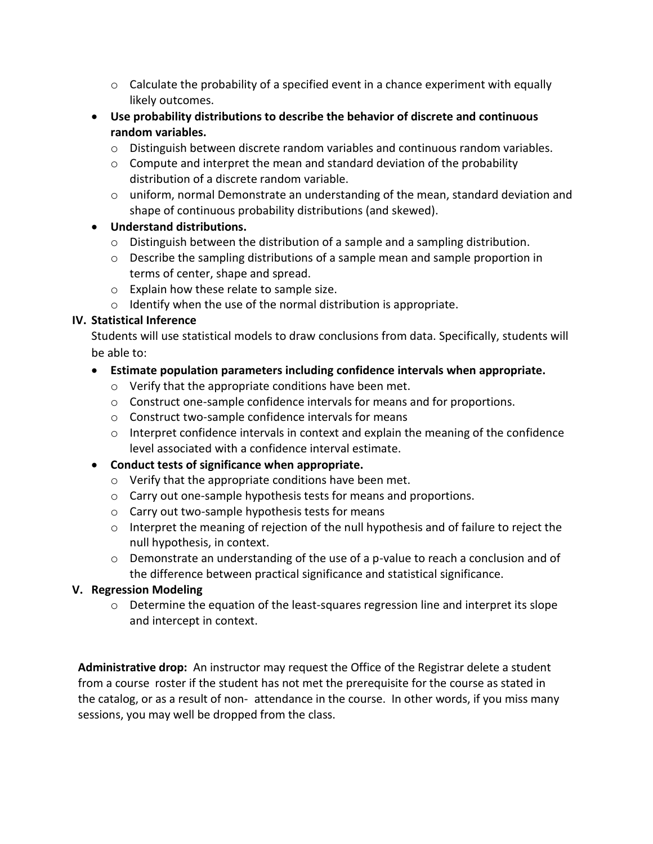- $\circ$  Calculate the probability of a specified event in a chance experiment with equally likely outcomes.
- **Use probability distributions to describe the behavior of discrete and continuous random variables.** 
	- $\circ$  Distinguish between discrete random variables and continuous random variables.
	- $\circ$  Compute and interpret the mean and standard deviation of the probability distribution of a discrete random variable.
	- $\circ$  uniform, normal Demonstrate an understanding of the mean, standard deviation and shape of continuous probability distributions (and skewed).

# **Understand distributions.**

- $\circ$  Distinguish between the distribution of a sample and a sampling distribution.
- $\circ$  Describe the sampling distributions of a sample mean and sample proportion in terms of center, shape and spread.
- o Explain how these relate to sample size.
- $\circ$  Identify when the use of the normal distribution is appropriate.

# **IV. Statistical Inference**

Students will use statistical models to draw conclusions from data. Specifically, students will be able to:

# **Estimate population parameters including confidence intervals when appropriate.**

- o Verify that the appropriate conditions have been met.
- $\circ$  Construct one-sample confidence intervals for means and for proportions.
- o Construct two-sample confidence intervals for means
- o Interpret confidence intervals in context and explain the meaning of the confidence level associated with a confidence interval estimate.
- **Conduct tests of significance when appropriate.** 
	- o Verify that the appropriate conditions have been met.
	- o Carry out one-sample hypothesis tests for means and proportions.
	- o Carry out two-sample hypothesis tests for means
	- o Interpret the meaning of rejection of the null hypothesis and of failure to reject the null hypothesis, in context.
	- $\circ$  Demonstrate an understanding of the use of a p-value to reach a conclusion and of the difference between practical significance and statistical significance.

# **V. Regression Modeling**

 $\circ$  Determine the equation of the least-squares regression line and interpret its slope and intercept in context.

**Administrative drop:** An instructor may request the Office of the Registrar delete a student from a course roster if the student has not met the prerequisite for the course as stated in the catalog, or as a result of non- attendance in the course. In other words, if you miss many sessions, you may well be dropped from the class.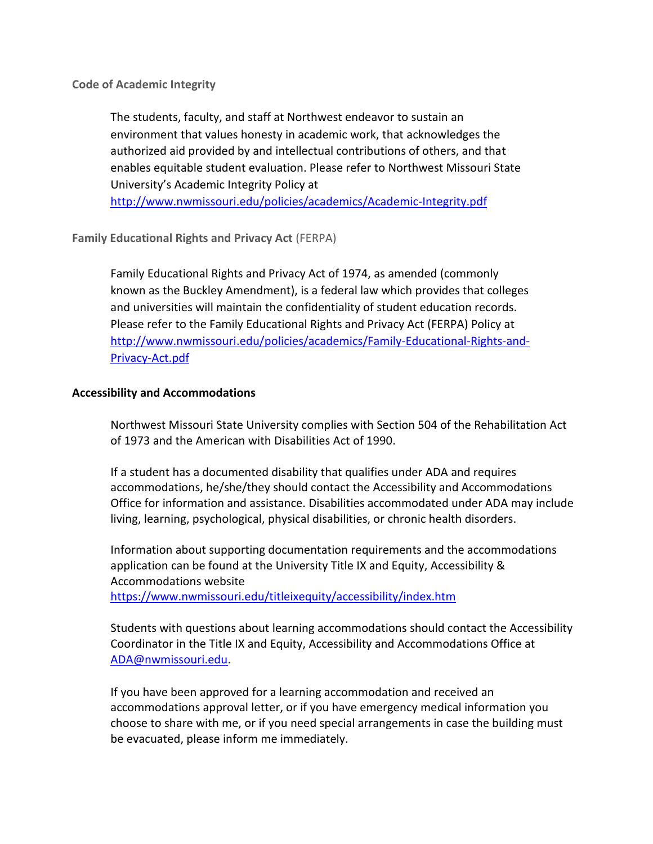**Code of Academic Integrity**

The students, faculty, and staff at Northwest endeavor to sustain an environment that values honesty in academic work, that acknowledges the authorized aid provided by and intellectual contributions of others, and that enables equitable student evaluation. Please refer to Northwest Missouri State University's Academic Integrity Policy at <http://www.nwmissouri.edu/policies/academics/Academic-Integrity.pdf>

**Family Educational Rights and Privacy Act** (FERPA)

Family Educational Rights and Privacy Act of 1974, as amended (commonly known as the Buckley Amendment), is a federal law which provides that colleges and universities will maintain the confidentiality of student education records. Please refer to the Family Educational Rights and Privacy Act (FERPA) Policy at [http://www.nwmissouri.edu/policies/academics/Family-Educational-Rights-and-](http://www.nwmissouri.edu/policies/academics/Family-Educational-Rights-and-Privacy-Act.pdf)[Privacy-Act.pdf](http://www.nwmissouri.edu/policies/academics/Family-Educational-Rights-and-Privacy-Act.pdf)

# **Accessibility and Accommodations**

Northwest Missouri State University complies with Section 504 of the Rehabilitation Act of 1973 and the American with Disabilities Act of 1990.

If a student has a documented disability that qualifies under ADA and requires accommodations, he/she/they should contact the Accessibility and Accommodations Office for information and assistance. Disabilities accommodated under ADA may include living, learning, psychological, physical disabilities, or chronic health disorders.

Information about supporting documentation requirements and the accommodations application can be found at the University Title IX and Equity, Accessibility & Accommodations website <https://www.nwmissouri.edu/titleixequity/accessibility/index.htm>

Students with questions about learning accommodations should contact the Accessibility Coordinator in the Title IX and Equity, Accessibility and Accommodations Office at [ADA@nwmissouri.edu.](mailto:ADA@nwmissouri.edu)

If you have been approved for a learning accommodation and received an accommodations approval letter, or if you have emergency medical information you choose to share with me, or if you need special arrangements in case the building must be evacuated, please inform me immediately.